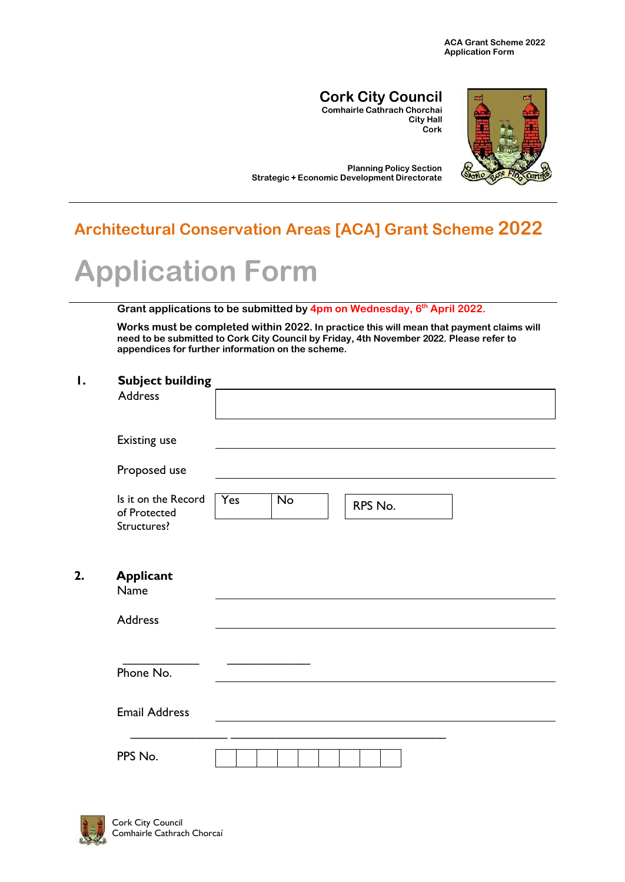#### **Cork City Council Comhairle Cathrach Chorchai**

**City Hall Cork**



**Planning Policy Section Strategic + Economic Development Directorate**

## **Architectural Conservation Areas [ACA] Grant Scheme 2022**

# **Application Form**

#### **Grant applications to be submitted by 4pm on Wednesday, 6 th April 2022.**

**Works must be completed within 2022. In practice this will mean that payment claims will need to be submitted to Cork City Council by Friday, 4th November 2022. Please refer to appendices for further information on the scheme.**

#### **1. Subject building**

|    | Address                                            |                                          |
|----|----------------------------------------------------|------------------------------------------|
|    | <b>Existing use</b>                                |                                          |
|    | Proposed use                                       |                                          |
|    | Is it on the Record<br>of Protected<br>Structures? | <b>Yes</b><br>$\overline{No}$<br>RPS No. |
| 2. | <b>Applicant</b><br>Name                           |                                          |
|    | Address                                            |                                          |
|    | Phone No.                                          |                                          |
|    | <b>Email Address</b>                               |                                          |
|    | PPS No.                                            |                                          |

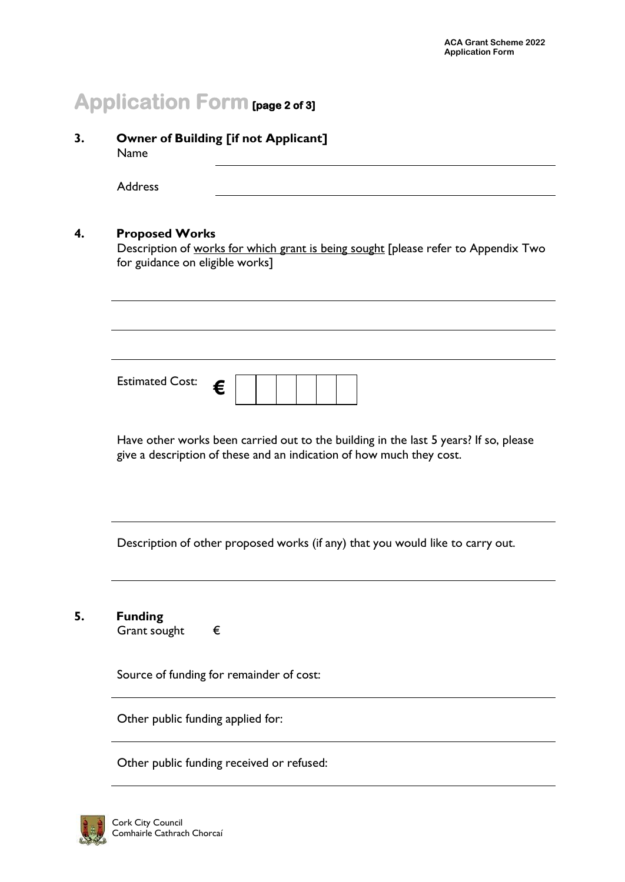# **Application Form [page 2 of 3]**

**3. Owner of Building [if not Applicant]** Name

Address

#### **4. Proposed Works**

Description of works for which grant is being sought [please refer to Appendix Two for guidance on eligible works]

| <b>Estimated Cost:</b> | c |  |  |  |  |  |  |  |
|------------------------|---|--|--|--|--|--|--|--|
|------------------------|---|--|--|--|--|--|--|--|

Have other works been carried out to the building in the last 5 years? If so, please give a description of these and an indication of how much they cost.

Description of other proposed works (if any) that you would like to carry out.

**5. Funding**

Grant sought  $\epsilon$ 

Source of funding for remainder of cost:

Other public funding applied for:

Other public funding received or refused:

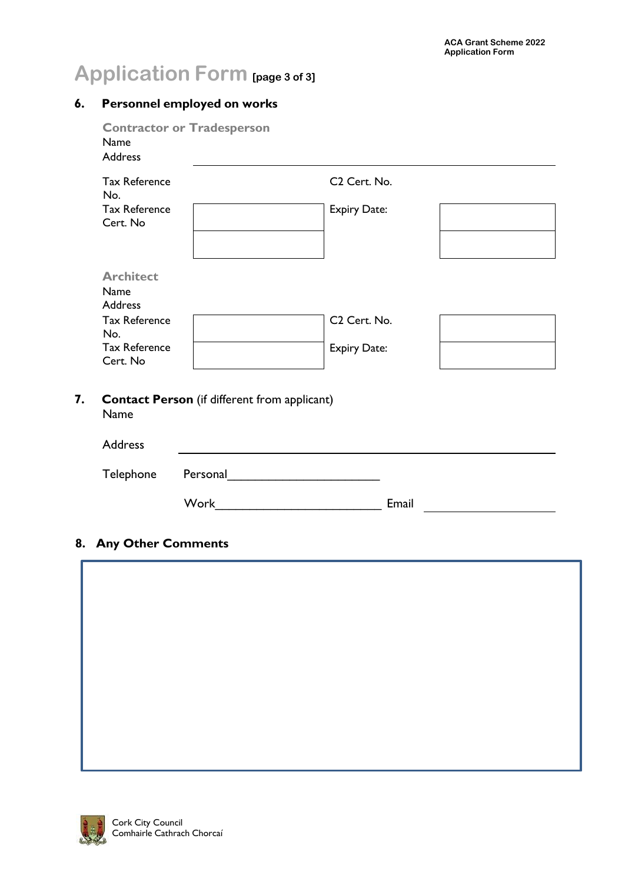# **Application Form [page 3 of 3]**

#### **6. Personnel employed on works**

| <b>Tax Reference</b><br>No.             |                                                     | C <sub>2</sub> Cert. No. |  |
|-----------------------------------------|-----------------------------------------------------|--------------------------|--|
| <b>Tax Reference</b><br>Cert. No        |                                                     | <b>Expiry Date:</b>      |  |
| <b>Architect</b><br>Name                |                                                     |                          |  |
| <b>Address</b><br><b>Tax Reference</b>  |                                                     | C <sub>2</sub> Cert. No. |  |
| No.<br><b>Tax Reference</b><br>Cert. No |                                                     | <b>Expiry Date:</b>      |  |
| Name                                    | <b>Contact Person</b> (if different from applicant) |                          |  |
|                                         |                                                     |                          |  |

#### **8. Any Other Comments**



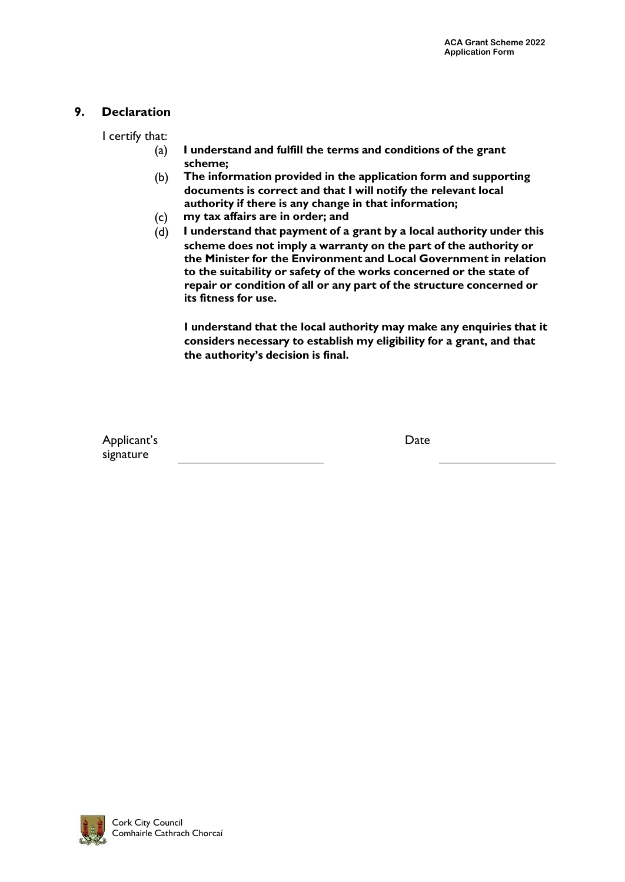#### **9. Declaration**

I certify that:

- (a) **I understand and fulfill the terms and conditions of the grant scheme;**
- (b) **The information provided in the application form and supporting documents is correct and that I will notify the relevant local authority if there is any change in that information;**
- (c) **my tax affairs are in order; and**
- (d) **I understand that payment of a grant by a local authority under this scheme does not imply a warranty on the part of the authority or the Minister for the Environment and Local Government in relation to the suitability or safety of the works concerned or the state of repair or condition of all or any part of the structure concerned or its fitness for use.**

**I understand that the local authority may make any enquiries that it considers necessary to establish my eligibility for a grant, and that the authority's decision is final.**

Applicant's signature

Date

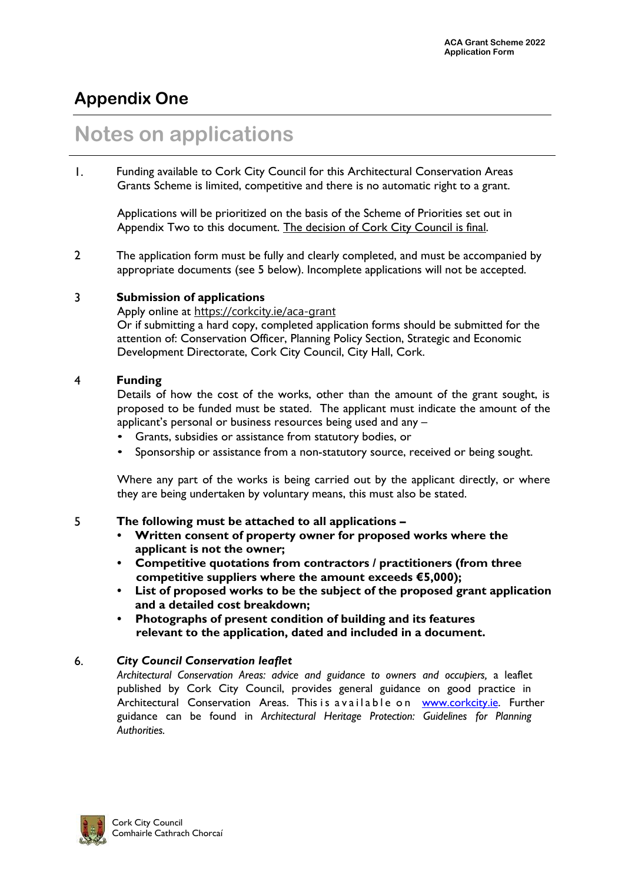### **Appendix One**

# **Notes on applications**

1. Funding available to Cork City Council for this Architectural Conservation Areas Grants Scheme is limited, competitive and there is no automatic right to a grant.

Applications will be prioritized on the basis of the Scheme of Priorities set out in Appendix Two to this document. The decision of Cork City Council is final.

2 The application form must be fully and clearly completed, and must be accompanied by appropriate documents (see 5 below). Incomplete applications will not be accepted.

#### 3 **Submission of applications**

Apply online at <https://corkcity.ie/aca-grant> Or if submitting a hard copy, completed application forms should be submitted for the attention of: Conservation Officer, Planning Policy Section, Strategic and Economic Development Directorate, Cork City Council, City Hall, Cork.

#### 4 **Funding**

Details of how the cost of the works, other than the amount of the grant sought, is proposed to be funded must be stated. The applicant must indicate the amount of the applicant's personal or business resources being used and any –

- Grants, subsidies or assistance from statutory bodies, or
- Sponsorship or assistance from a non-statutory source, received or being sought.

Where any part of the works is being carried out by the applicant directly, or where they are being undertaken by voluntary means, this must also be stated.

#### 5 **The following must be attached to all applications –**

- **• Written consent of property owner for proposed works where the applicant is not the owner;**
- **• Competitive quotations from contractors / practitioners (from three competitive suppliers where the amount exceeds €5,000);**
- **• List of proposed works to be the subject of the proposed grant application and a detailed cost breakdown;**
- **• Photographs of present condition of building and its features relevant to the application, dated and included in a document.**

#### 6. *City Council Conservation leaflet*

*Architectural Conservation Areas: advice and guidance to owners and occupiers,* a leaflet published by Cork City Council, provides general guidance on good practice in Architectural Conservation Areas. This is a vailable on [www.corkcity.ie. F](http://www.corkcity.ie/)urther guidance can be found in *Architectural Heritage Protection: Guidelines for Planning Authorities.*

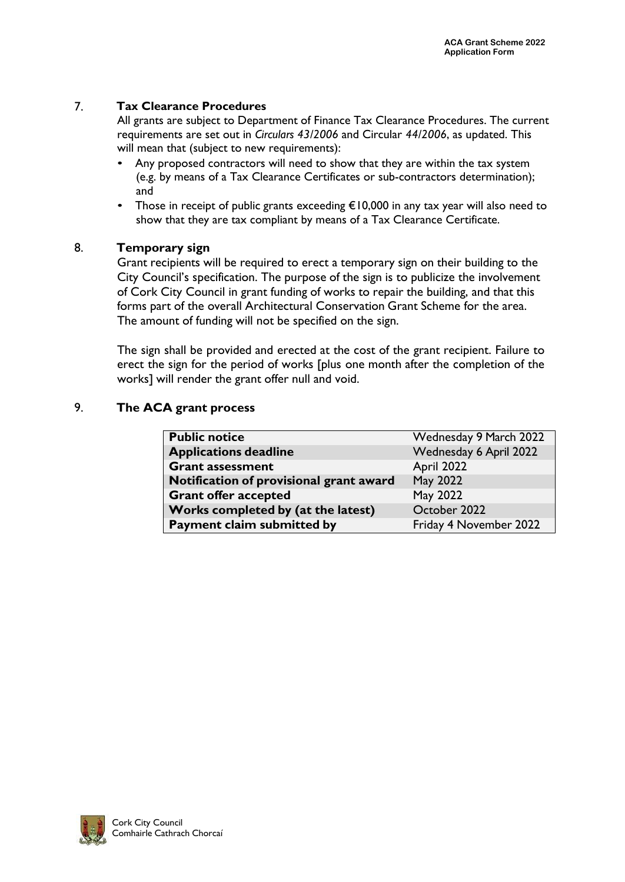#### 7. **Tax Clearance Procedures**

All grants are subject to Department of Finance Tax Clearance Procedures. The current requirements are set out in *Circulars 43/2006* and Circular *44/2006*, as updated. This will mean that (subject to new requirements):

- Any proposed contractors will need to show that they are within the tax system (e.g. by means of a Tax Clearance Certificates or sub-contractors determination); and
- Those in receipt of public grants exceeding €10,000 in any tax year will also need to show that they are tax compliant by means of a Tax Clearance Certificate.

#### 8. **Temporary sign**

Grant recipients will be required to erect a temporary sign on their building to the City Council's specification. The purpose of the sign is to publicize the involvement of Cork City Council in grant funding of works to repair the building, and that this forms part of the overall Architectural Conservation Grant Scheme for the area. The amount of funding will not be specified on the sign.

The sign shall be provided and erected at the cost of the grant recipient. Failure to erect the sign for the period of works [plus one month after the completion of the works] will render the grant offer null and void.

#### 9. **The ACA grant process**

| <b>Public notice</b>                    | Wednesday 9 March 2022 |
|-----------------------------------------|------------------------|
| <b>Applications deadline</b>            | Wednesday 6 April 2022 |
| <b>Grant assessment</b>                 | April 2022             |
| Notification of provisional grant award | May 2022               |
| <b>Grant offer accepted</b>             | <b>May 2022</b>        |
| Works completed by (at the latest)      | October 2022           |
| Payment claim submitted by              | Friday 4 November 2022 |

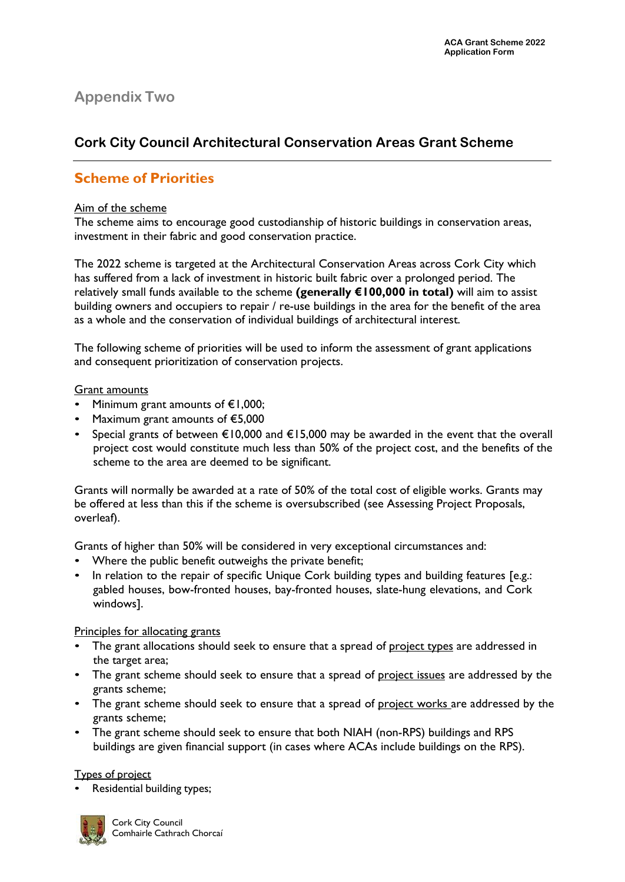#### **Appendix Two**

#### **Cork City Council Architectural Conservation Areas Grant Scheme**

#### **Scheme of Priorities**

#### Aim of the scheme

The scheme aims to encourage good custodianship of historic buildings in conservation areas, investment in their fabric and good conservation practice.

The 2022 scheme is targeted at the Architectural Conservation Areas across Cork City which has suffered from a lack of investment in historic built fabric over a prolonged period. The relatively small funds available to the scheme **(generally €100,000 in total)** will aim to assist building owners and occupiers to repair / re-use buildings in the area for the benefit of the area as a whole and the conservation of individual buildings of architectural interest.

The following scheme of priorities will be used to inform the assessment of grant applications and consequent prioritization of conservation projects.

#### Grant amounts

- Minimum grant amounts of  $E1,000$ ;
- Maximum grant amounts of €5,000
- Special grants of between €10,000 and €15,000 may be awarded in the event that the overall project cost would constitute much less than 50% of the project cost, and the benefits of the scheme to the area are deemed to be significant.

Grants will normally be awarded at a rate of 50% of the total cost of eligible works. Grants may be offered at less than this if the scheme is oversubscribed (see Assessing Project Proposals, overleaf).

Grants of higher than 50% will be considered in very exceptional circumstances and:

- Where the public benefit outweighs the private benefit;
- In relation to the repair of specific Unique Cork building types and building features [e.g.: gabled houses, bow-fronted houses, bay-fronted houses, slate-hung elevations, and Cork windows].

#### Principles for allocating grants

- The grant allocations should seek to ensure that a spread of project types are addressed in the target area;
- The grant scheme should seek to ensure that a spread of project issues are addressed by the grants scheme;
- The grant scheme should seek to ensure that a spread of project works are addressed by the grants scheme;
- The grant scheme should seek to ensure that both NIAH (non-RPS) buildings and RPS buildings are given financial support (in cases where ACAs include buildings on the RPS).

#### Types of project

• Residential building types;

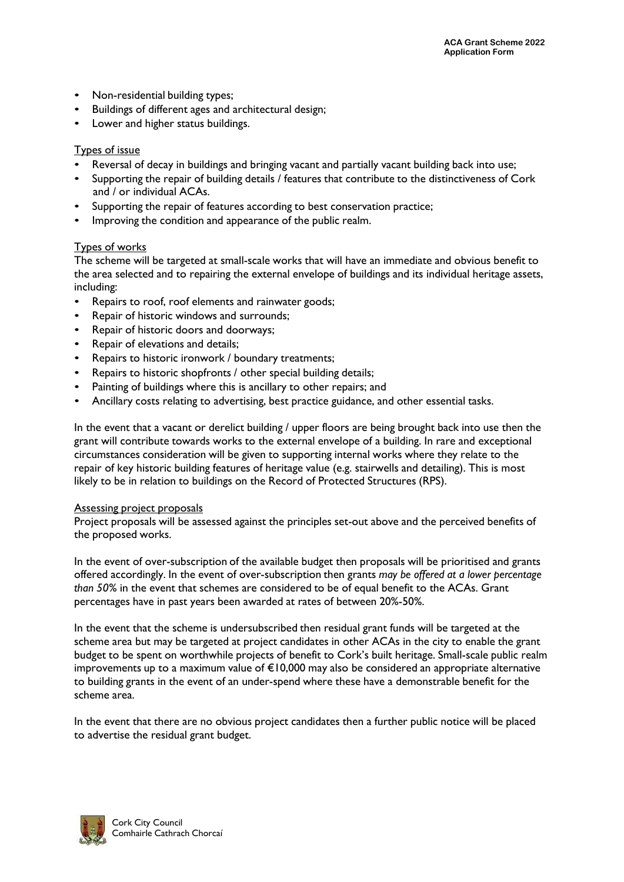- Non-residential building types;
- Buildings of different ages and architectural design;
- Lower and higher status buildings.

#### Types of issue

- Reversal of decay in buildings and bringing vacant and partially vacant building back into use;
- Supporting the repair of building details / features that contribute to the distinctiveness of Cork and / or individual ACAs.
- Supporting the repair of features according to best conservation practice;
- Improving the condition and appearance of the public realm.

#### Types of works

The scheme will be targeted at small-scale works that will have an immediate and obvious benefit to the area selected and to repairing the external envelope of buildings and its individual heritage assets, including:

- Repairs to roof, roof elements and rainwater goods;
- Repair of historic windows and surrounds;
- Repair of historic doors and doorways;
- Repair of elevations and details;
- Repairs to historic ironwork / boundary treatments;
- Repairs to historic shopfronts / other special building details;
- Painting of buildings where this is ancillary to other repairs; and
- Ancillary costs relating to advertising, best practice guidance, and other essential tasks.

In the event that a vacant or derelict building / upper floors are being brought back into use then the grant will contribute towards works to the external envelope of a building. In rare and exceptional circumstances consideration will be given to supporting internal works where they relate to the repair of key historic building features of heritage value (e.g. stairwells and detailing). This is most likely to be in relation to buildings on the Record of Protected Structures (RPS).

#### Assessing project proposals

Project proposals will be assessed against the principles set-out above and the perceived benefits of the proposed works.

In the event of over-subscription of the available budget then proposals will be prioritised and grants offered accordingly. In the event of over-subscription then grants *may be offered at a lower percentage than 50%* in the event that schemes are considered to be of equal benefit to the ACAs. Grant percentages have in past years been awarded at rates of between 20%-50%.

In the event that the scheme is undersubscribed then residual grant funds will be targeted at the scheme area but may be targeted at project candidates in other ACAs in the city to enable the grant budget to be spent on worthwhile projects of benefit to Cork's built heritage. Small-scale public realm improvements up to a maximum value of €10,000 may also be considered an appropriate alternative to building grants in the event of an under-spend where these have a demonstrable benefit for the scheme area.

In the event that there are no obvious project candidates then a further public notice will be placed to advertise the residual grant budget.